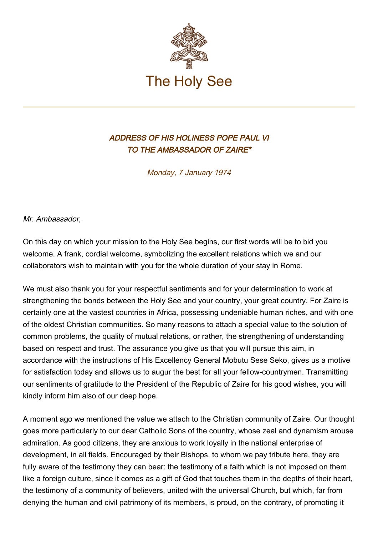

## ADDRESS OF HIS HOLINESS POPE PAUL VI TO THE AMBASSADOR OF ZAIRE\*

Monday, 7 January 1974

Mr. Ambassador,

On this day on which your mission to the Holy See begins, our first words will be to bid you welcome. A frank, cordial welcome, symbolizing the excellent relations which we and our collaborators wish to maintain with you for the whole duration of your stay in Rome.

We must also thank you for your respectful sentiments and for your determination to work at strengthening the bonds between the Holy See and your country, your great country. For Zaire is certainly one at the vastest countries in Africa, possessing undeniable human riches, and with one of the oldest Christian communities. So many reasons to attach a special value to the solution of common problems, the quality of mutual relations, or rather, the strengthening of understanding based on respect and trust. The assurance you give us that you will pursue this aim, in accordance with the instructions of His Excellency General Mobutu Sese Seko, gives us a motive for satisfaction today and allows us to augur the best for all your fellow-countrymen. Transmitting our sentiments of gratitude to the President of the Republic of Zaire for his good wishes, you will kindly inform him also of our deep hope.

A moment ago we mentioned the value we attach to the Christian community of Zaire. Our thought goes more particularly to our dear Catholic Sons of the country, whose zeal and dynamism arouse admiration. As good citizens, they are anxious to work loyally in the national enterprise of development, in all fields. Encouraged by their Bishops, to whom we pay tribute here, they are fully aware of the testimony they can bear: the testimony of a faith which is not imposed on them like a foreign culture, since it comes as a gift of God that touches them in the depths of their heart, the testimony of a community of believers, united with the universal Church, but which, far from denying the human and civil patrimony of its members, is proud, on the contrary, of promoting it